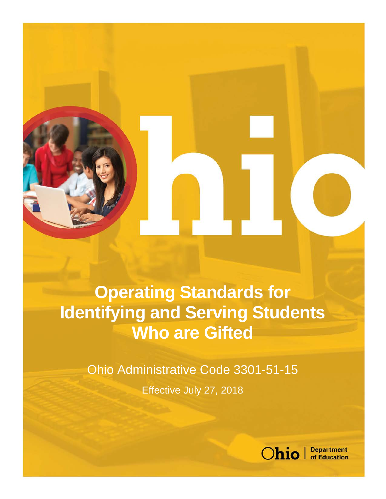# **Operating Standards for Identifying and Serving Students Who are Gifted**

Ohio Administrative Code 3301-51-15 Effective July 27, 2018

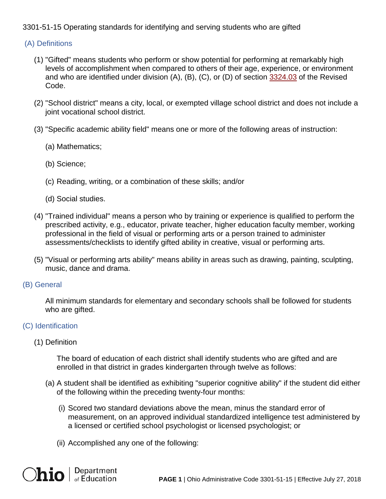## 3301-51-15 Operating standards for identifying and serving students who are gifted

### (A) Definitions

- (1) "Gifted" means students who perform or show potential for performing at remarkably high levels of accomplishment when compared to others of their age, experience, or environment and who are identified under division (A), (B), (C), or (D) of section [3324.03](http://codes.ohio.gov/orc/3324.03) of the Revised Code.
- (2) "School district" means a city, local, or exempted village school district and does not include a joint vocational school district.
- (3) "Specific academic ability field" means one or more of the following areas of instruction:
	- (a) Mathematics;
	- (b) Science;
	- (c) Reading, writing, or a combination of these skills; and/or
	- (d) Social studies.
- (4) "Trained individual" means a person who by training or experience is qualified to perform the prescribed activity, e.g., educator, private teacher, higher education faculty member, working professional in the field of visual or performing arts or a person trained to administer assessments/checklists to identify gifted ability in creative, visual or performing arts.
- (5) "Visual or performing arts ability" means ability in areas such as drawing, painting, sculpting, music, dance and drama.
- (B) General

All minimum standards for elementary and secondary schools shall be followed for students who are gifted.

## (C) Identification

(1) Definition

The board of education of each district shall identify students who are gifted and are enrolled in that district in grades kindergarten through twelve as follows:

- (a) A student shall be identified as exhibiting "superior cognitive ability" if the student did either of the following within the preceding twenty-four months:
	- (i) Scored two standard deviations above the mean, minus the standard error of measurement, on an approved individual standardized intelligence test administered by a licensed or certified school psychologist or licensed psychologist; or
	- (ii) Accomplished any one of the following:

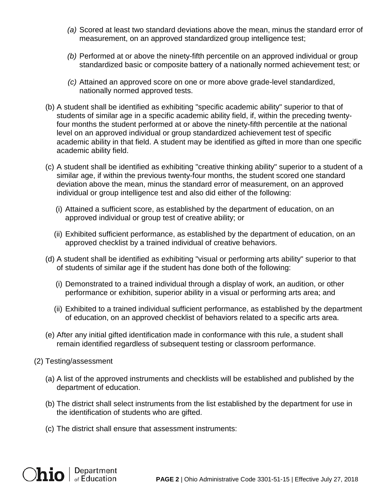- *(a)* Scored at least two standard deviations above the mean, minus the standard error of measurement, on an approved standardized group intelligence test;
- *(b)* Performed at or above the ninety-fifth percentile on an approved individual or group standardized basic or composite battery of a nationally normed achievement test; or
- *(c)* Attained an approved score on one or more above grade-level standardized, nationally normed approved tests.
- (b) A student shall be identified as exhibiting "specific academic ability" superior to that of students of similar age in a specific academic ability field, if, within the preceding twentyfour months the student performed at or above the ninety-fifth percentile at the national level on an approved individual or group standardized achievement test of specific academic ability in that field. A student may be identified as gifted in more than one specific academic ability field.
- (c) A student shall be identified as exhibiting "creative thinking ability" superior to a student of a similar age, if within the previous twenty-four months, the student scored one standard deviation above the mean, minus the standard error of measurement, on an approved individual or group intelligence test and also did either of the following:
	- (i) Attained a sufficient score, as established by the department of education, on an approved individual or group test of creative ability; or
	- (ii) Exhibited sufficient performance, as established by the department of education, on an approved checklist by a trained individual of creative behaviors.
- (d) A student shall be identified as exhibiting "visual or performing arts ability" superior to that of students of similar age if the student has done both of the following:
	- (i) Demonstrated to a trained individual through a display of work, an audition, or other performance or exhibition, superior ability in a visual or performing arts area; and
	- (ii) Exhibited to a trained individual sufficient performance, as established by the department of education, on an approved checklist of behaviors related to a specific arts area.
- (e) After any initial gifted identification made in conformance with this rule, a student shall remain identified regardless of subsequent testing or classroom performance.
- (2) Testing/assessment
	- (a) A list of the approved instruments and checklists will be established and published by the department of education.
	- (b) The district shall select instruments from the list established by the department for use in the identification of students who are gifted.
	- (c) The district shall ensure that assessment instruments:

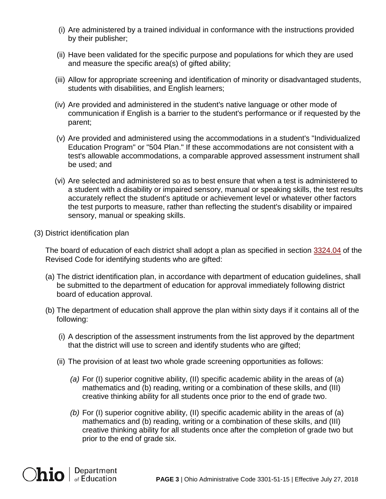- (i) Are administered by a trained individual in conformance with the instructions provided by their publisher;
- (ii) Have been validated for the specific purpose and populations for which they are used and measure the specific area(s) of gifted ability;
- (iii) Allow for appropriate screening and identification of minority or disadvantaged students, students with disabilities, and English learners;
- (iv) Are provided and administered in the student's native language or other mode of communication if English is a barrier to the student's performance or if requested by the parent;
- (v) Are provided and administered using the accommodations in a student's "Individualized Education Program" or "504 Plan." If these accommodations are not consistent with a test's allowable accommodations, a comparable approved assessment instrument shall be used; and
- (vi) Are selected and administered so as to best ensure that when a test is administered to a student with a disability or impaired sensory, manual or speaking skills, the test results accurately reflect the student's aptitude or achievement level or whatever other factors the test purports to measure, rather than reflecting the student's disability or impaired sensory, manual or speaking skills.
- (3) District identification plan

The board of education of each district shall adopt a plan as specified in section [3324.04](http://codes.ohio.gov/orc/3324.04) of the Revised Code for identifying students who are gifted:

- (a) The district identification plan, in accordance with department of education guidelines, shall be submitted to the department of education for approval immediately following district board of education approval.
- (b) The department of education shall approve the plan within sixty days if it contains all of the following:
	- (i) A description of the assessment instruments from the list approved by the department that the district will use to screen and identify students who are gifted;
	- (ii) The provision of at least two whole grade screening opportunities as follows:
		- *(a)* For (I) superior cognitive ability, (II) specific academic ability in the areas of (a) mathematics and (b) reading, writing or a combination of these skills, and (III) creative thinking ability for all students once prior to the end of grade two.
		- *(b)* For (I) superior cognitive ability, (II) specific academic ability in the areas of (a) mathematics and (b) reading, writing or a combination of these skills, and (III) creative thinking ability for all students once after the completion of grade two but prior to the end of grade six.

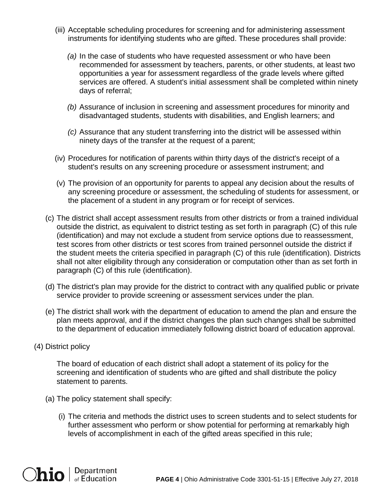- (iii) Acceptable scheduling procedures for screening and for administering assessment instruments for identifying students who are gifted. These procedures shall provide:
	- *(a)* In the case of students who have requested assessment or who have been recommended for assessment by teachers, parents, or other students, at least two opportunities a year for assessment regardless of the grade levels where gifted services are offered. A student's initial assessment shall be completed within ninety days of referral;
	- *(b)* Assurance of inclusion in screening and assessment procedures for minority and disadvantaged students, students with disabilities, and English learners; and
	- *(c)* Assurance that any student transferring into the district will be assessed within ninety days of the transfer at the request of a parent;
- (iv) Procedures for notification of parents within thirty days of the district's receipt of a student's results on any screening procedure or assessment instrument; and
- (v) The provision of an opportunity for parents to appeal any decision about the results of any screening procedure or assessment, the scheduling of students for assessment, or the placement of a student in any program or for receipt of services.
- (c) The district shall accept assessment results from other districts or from a trained individual outside the district, as equivalent to district testing as set forth in paragraph (C) of this rule (identification) and may not exclude a student from service options due to reassessment, test scores from other districts or test scores from trained personnel outside the district if the student meets the criteria specified in paragraph (C) of this rule (identification). Districts shall not alter eligibility through any consideration or computation other than as set forth in paragraph (C) of this rule (identification).
- (d) The district's plan may provide for the district to contract with any qualified public or private service provider to provide screening or assessment services under the plan.
- (e) The district shall work with the department of education to amend the plan and ensure the plan meets approval, and if the district changes the plan such changes shall be submitted to the department of education immediately following district board of education approval.
- (4) District policy

The board of education of each district shall adopt a statement of its policy for the screening and identification of students who are gifted and shall distribute the policy statement to parents.

- (a) The policy statement shall specify:
	- (i) The criteria and methods the district uses to screen students and to select students for further assessment who perform or show potential for performing at remarkably high levels of accomplishment in each of the gifted areas specified in this rule;

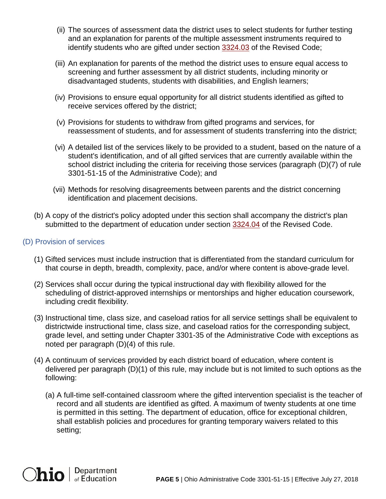- (ii) The sources of assessment data the district uses to select students for further testing and an explanation for parents of the multiple assessment instruments required to identify students who are gifted under section [3324.03](http://codes.ohio.gov/orc/3324.03) of the Revised Code;
- (iii) An explanation for parents of the method the district uses to ensure equal access to screening and further assessment by all district students, including minority or disadvantaged students, students with disabilities, and English learners;
- (iv) Provisions to ensure equal opportunity for all district students identified as gifted to receive services offered by the district;
- (v) Provisions for students to withdraw from gifted programs and services, for reassessment of students, and for assessment of students transferring into the district;
- (vi) A detailed list of the services likely to be provided to a student, based on the nature of a student's identification, and of all gifted services that are currently available within the school district including the criteria for receiving those services (paragraph (D)(7) of rule 3301-51-15 of the Administrative Code); and
- (vii) Methods for resolving disagreements between parents and the district concerning identification and placement decisions.
- (b) A copy of the district's policy adopted under this section shall accompany the district's plan submitted to the department of education under section [3324.04](http://codes.ohio.gov/orc/3324.04) of the Revised Code.

## (D) Provision of services

- (1) Gifted services must include instruction that is differentiated from the standard curriculum for that course in depth, breadth, complexity, pace, and/or where content is above-grade level.
- (2) Services shall occur during the typical instructional day with flexibility allowed for the scheduling of district-approved internships or mentorships and higher education coursework, including credit flexibility.
- (3) Instructional time, class size, and caseload ratios for all service settings shall be equivalent to districtwide instructional time, class size, and caseload ratios for the corresponding subject, grade level, and setting under Chapter 3301-35 of the Administrative Code with exceptions as noted per paragraph (D)(4) of this rule.
- (4) A continuum of services provided by each district board of education, where content is delivered per paragraph (D)(1) of this rule, may include but is not limited to such options as the following:
	- (a) A full-time self-contained classroom where the gifted intervention specialist is the teacher of record and all students are identified as gifted. A maximum of twenty students at one time is permitted in this setting. The department of education, office for exceptional children, shall establish policies and procedures for granting temporary waivers related to this setting;

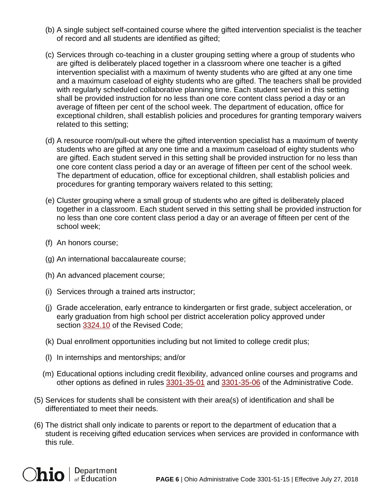- (b) A single subject self-contained course where the gifted intervention specialist is the teacher of record and all students are identified as gifted;
- (c) Services through co-teaching in a cluster grouping setting where a group of students who are gifted is deliberately placed together in a classroom where one teacher is a gifted intervention specialist with a maximum of twenty students who are gifted at any one time and a maximum caseload of eighty students who are gifted. The teachers shall be provided with regularly scheduled collaborative planning time. Each student served in this setting shall be provided instruction for no less than one core content class period a day or an average of fifteen per cent of the school week. The department of education, office for exceptional children, shall establish policies and procedures for granting temporary waivers related to this setting;
- (d) A resource room/pull-out where the gifted intervention specialist has a maximum of twenty students who are gifted at any one time and a maximum caseload of eighty students who are gifted. Each student served in this setting shall be provided instruction for no less than one core content class period a day or an average of fifteen per cent of the school week. The department of education, office for exceptional children, shall establish policies and procedures for granting temporary waivers related to this setting;
- (e) Cluster grouping where a small group of students who are gifted is deliberately placed together in a classroom. Each student served in this setting shall be provided instruction for no less than one core content class period a day or an average of fifteen per cent of the school week;
- (f) An honors course;
- (g) An international baccalaureate course;
- (h) An advanced placement course;
- (i) Services through a trained arts instructor;
- (j) Grade acceleration, early entrance to kindergarten or first grade, subject acceleration, or early graduation from high school per district acceleration policy approved under section [3324.10](http://codes.ohio.gov/orc/3324.10) of the Revised Code;
- (k) Dual enrollment opportunities including but not limited to college credit plus;
- (l) In internships and mentorships; and/or
- (m) Educational options including credit flexibility, advanced online courses and programs and other options as defined in rules [3301-35-01](http://codes.ohio.gov/oac/3301-35-01) and [3301-35-06](http://codes.ohio.gov/oac/3301-35-06) of the Administrative Code.
- (5) Services for students shall be consistent with their area(s) of identification and shall be differentiated to meet their needs.
- (6) The district shall only indicate to parents or report to the department of education that a student is receiving gifted education services when services are provided in conformance with this rule.

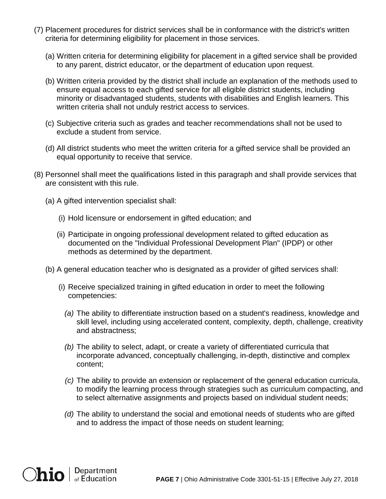- (7) Placement procedures for district services shall be in conformance with the district's written criteria for determining eligibility for placement in those services.
	- (a) Written criteria for determining eligibility for placement in a gifted service shall be provided to any parent, district educator, or the department of education upon request.
	- (b) Written criteria provided by the district shall include an explanation of the methods used to ensure equal access to each gifted service for all eligible district students, including minority or disadvantaged students, students with disabilities and English learners. This written criteria shall not unduly restrict access to services.
	- (c) Subjective criteria such as grades and teacher recommendations shall not be used to exclude a student from service.
	- (d) All district students who meet the written criteria for a gifted service shall be provided an equal opportunity to receive that service.
- (8) Personnel shall meet the qualifications listed in this paragraph and shall provide services that are consistent with this rule.
	- (a) A gifted intervention specialist shall:
		- (i) Hold licensure or endorsement in gifted education; and
		- (ii) Participate in ongoing professional development related to gifted education as documented on the "Individual Professional Development Plan" (IPDP) or other methods as determined by the department.
	- (b) A general education teacher who is designated as a provider of gifted services shall:
		- (i) Receive specialized training in gifted education in order to meet the following competencies:
			- *(a)* The ability to differentiate instruction based on a student's readiness, knowledge and skill level, including using accelerated content, complexity, depth, challenge, creativity and abstractness;
			- *(b)* The ability to select, adapt, or create a variety of differentiated curricula that incorporate advanced, conceptually challenging, in-depth, distinctive and complex content;
			- *(c)* The ability to provide an extension or replacement of the general education curricula, to modify the learning process through strategies such as curriculum compacting, and to select alternative assignments and projects based on individual student needs;
			- *(d)* The ability to understand the social and emotional needs of students who are gifted and to address the impact of those needs on student learning;

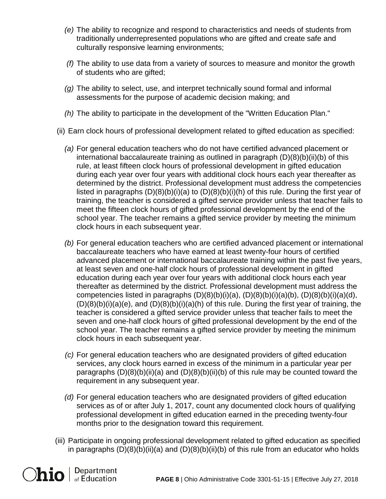- *(e)* The ability to recognize and respond to characteristics and needs of students from traditionally underrepresented populations who are gifted and create safe and culturally responsive learning environments;
- *(f)* The ability to use data from a variety of sources to measure and monitor the growth of students who are gifted;
- *(g)* The ability to select, use, and interpret technically sound formal and informal assessments for the purpose of academic decision making; and
- *(h)* The ability to participate in the development of the "Written Education Plan."
- (ii) Earn clock hours of professional development related to gifted education as specified:
	- *(a)* For general education teachers who do not have certified advanced placement or international baccalaureate training as outlined in paragraph (D)(8)(b)(ii)(b) of this rule, at least fifteen clock hours of professional development in gifted education during each year over four years with additional clock hours each year thereafter as determined by the district. Professional development must address the competencies listed in paragraphs  $(D)(8)(b)(i)(a)$  to  $(D)(8)(b)(i)(h)$  of this rule. During the first year of training, the teacher is considered a gifted service provider unless that teacher fails to meet the fifteen clock hours of gifted professional development by the end of the school year. The teacher remains a gifted service provider by meeting the minimum clock hours in each subsequent year.
	- *(b)* For general education teachers who are certified advanced placement or international baccalaureate teachers who have earned at least twenty-four hours of certified advanced placement or international baccalaureate training within the past five years, at least seven and one-half clock hours of professional development in gifted education during each year over four years with additional clock hours each year thereafter as determined by the district. Professional development must address the competencies listed in paragraphs  $(D)(8)(b)(i)(a)$ ,  $(D)(8)(b)(i)(a)(b)$ ,  $(D)(8)(b)(i)(a)(d)$ ,  $(D)(8)(b)(i)(a)(e)$ , and  $(D)(8)(b)(i)(a)(h)$  of this rule. During the first year of training, the teacher is considered a gifted service provider unless that teacher fails to meet the seven and one-half clock hours of gifted professional development by the end of the school year. The teacher remains a gifted service provider by meeting the minimum clock hours in each subsequent year.
	- *(c)* For general education teachers who are designated providers of gifted education services, any clock hours earned in excess of the minimum in a particular year per paragraphs  $(D)(8)(b)(ii)(a)$  and  $(D)(8)(b)(ii)(b)$  of this rule may be counted toward the requirement in any subsequent year.
	- *(d)* For general education teachers who are designated providers of gifted education services as of or after July 1, 2017, count any documented clock hours of qualifying professional development in gifted education earned in the preceding twenty-four months prior to the designation toward this requirement.
- (iii) Participate in ongoing professional development related to gifted education as specified in paragraphs  $(D)(8)(b)(ii)(a)$  and  $(D)(8)(b)(ii)(b)$  of this rule from an educator who holds

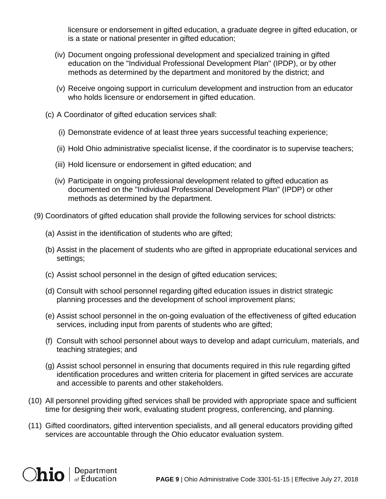licensure or endorsement in gifted education, a graduate degree in gifted education, or is a state or national presenter in gifted education;

- (iv) Document ongoing professional development and specialized training in gifted education on the "Individual Professional Development Plan" (IPDP), or by other methods as determined by the department and monitored by the district; and
- (v) Receive ongoing support in curriculum development and instruction from an educator who holds licensure or endorsement in gifted education.
- (c) A Coordinator of gifted education services shall:
	- (i) Demonstrate evidence of at least three years successful teaching experience;
	- (ii) Hold Ohio administrative specialist license, if the coordinator is to supervise teachers;
	- (iii) Hold licensure or endorsement in gifted education; and
	- (iv) Participate in ongoing professional development related to gifted education as documented on the "Individual Professional Development Plan" (IPDP) or other methods as determined by the department.
- (9) Coordinators of gifted education shall provide the following services for school districts:
	- (a) Assist in the identification of students who are gifted;
	- (b) Assist in the placement of students who are gifted in appropriate educational services and settings;
	- (c) Assist school personnel in the design of gifted education services;
	- (d) Consult with school personnel regarding gifted education issues in district strategic planning processes and the development of school improvement plans;
	- (e) Assist school personnel in the on-going evaluation of the effectiveness of gifted education services, including input from parents of students who are gifted;
	- (f) Consult with school personnel about ways to develop and adapt curriculum, materials, and teaching strategies; and
	- (g) Assist school personnel in ensuring that documents required in this rule regarding gifted identification procedures and written criteria for placement in gifted services are accurate and accessible to parents and other stakeholders.
- (10) All personnel providing gifted services shall be provided with appropriate space and sufficient time for designing their work, evaluating student progress, conferencing, and planning.
- (11) Gifted coordinators, gifted intervention specialists, and all general educators providing gifted services are accountable through the Ohio educator evaluation system.

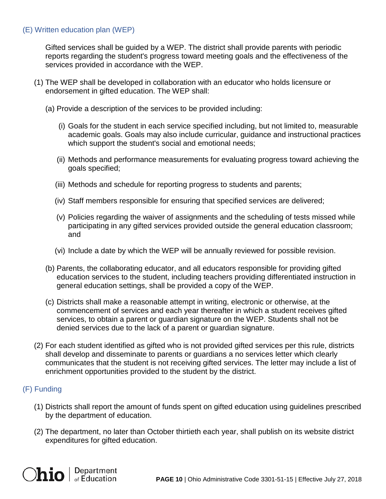### (E) Written education plan (WEP)

Gifted services shall be guided by a WEP. The district shall provide parents with periodic reports regarding the student's progress toward meeting goals and the effectiveness of the services provided in accordance with the WEP.

- (1) The WEP shall be developed in collaboration with an educator who holds licensure or endorsement in gifted education. The WEP shall:
	- (a) Provide a description of the services to be provided including:
		- (i) Goals for the student in each service specified including, but not limited to, measurable academic goals. Goals may also include curricular, guidance and instructional practices which support the student's social and emotional needs;
		- (ii) Methods and performance measurements for evaluating progress toward achieving the goals specified;
		- (iii) Methods and schedule for reporting progress to students and parents;
		- (iv) Staff members responsible for ensuring that specified services are delivered;
		- (v) Policies regarding the waiver of assignments and the scheduling of tests missed while participating in any gifted services provided outside the general education classroom; and
		- (vi) Include a date by which the WEP will be annually reviewed for possible revision.
	- (b) Parents, the collaborating educator, and all educators responsible for providing gifted education services to the student, including teachers providing differentiated instruction in general education settings, shall be provided a copy of the WEP.
	- (c) Districts shall make a reasonable attempt in writing, electronic or otherwise, at the commencement of services and each year thereafter in which a student receives gifted services, to obtain a parent or guardian signature on the WEP. Students shall not be denied services due to the lack of a parent or guardian signature.
- (2) For each student identified as gifted who is not provided gifted services per this rule, districts shall develop and disseminate to parents or guardians a no services letter which clearly communicates that the student is not receiving gifted services. The letter may include a list of enrichment opportunities provided to the student by the district.

### (F) Funding

- (1) Districts shall report the amount of funds spent on gifted education using guidelines prescribed by the department of education.
- (2) The department, no later than October thirtieth each year, shall publish on its website district expenditures for gifted education.

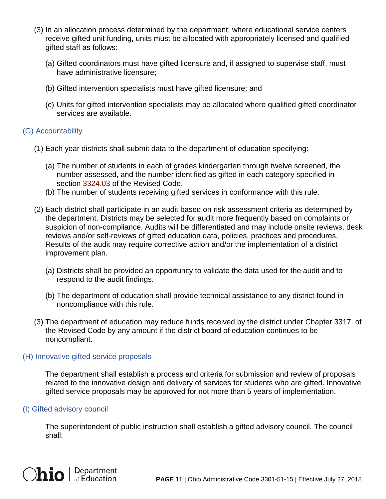- (3) In an allocation process determined by the department, where educational service centers receive gifted unit funding, units must be allocated with appropriately licensed and qualified gifted staff as follows:
	- (a) Gifted coordinators must have gifted licensure and, if assigned to supervise staff, must have administrative licensure;
	- (b) Gifted intervention specialists must have gifted licensure; and
	- (c) Units for gifted intervention specialists may be allocated where qualified gifted coordinator services are available.

## (G) Accountability

- (1) Each year districts shall submit data to the department of education specifying:
	- (a) The number of students in each of grades kindergarten through twelve screened, the number assessed, and the number identified as gifted in each category specified in section [3324.03](http://codes.ohio.gov/orc/3324.03) of the Revised Code.
	- (b) The number of students receiving gifted services in conformance with this rule.
- (2) Each district shall participate in an audit based on risk assessment criteria as determined by the department. Districts may be selected for audit more frequently based on complaints or suspicion of non-compliance. Audits will be differentiated and may include onsite reviews, desk reviews and/or self-reviews of gifted education data, policies, practices and procedures. Results of the audit may require corrective action and/or the implementation of a district improvement plan.
	- (a) Districts shall be provided an opportunity to validate the data used for the audit and to respond to the audit findings.
	- (b) The department of education shall provide technical assistance to any district found in noncompliance with this rule.
- (3) The department of education may reduce funds received by the district under Chapter 3317. of the Revised Code by any amount if the district board of education continues to be noncompliant.

### (H) Innovative gifted service proposals

The department shall establish a process and criteria for submission and review of proposals related to the innovative design and delivery of services for students who are gifted. Innovative gifted service proposals may be approved for not more than 5 years of implementation.

#### (I) Gifted advisory council

The superintendent of public instruction shall establish a gifted advisory council. The council shall: